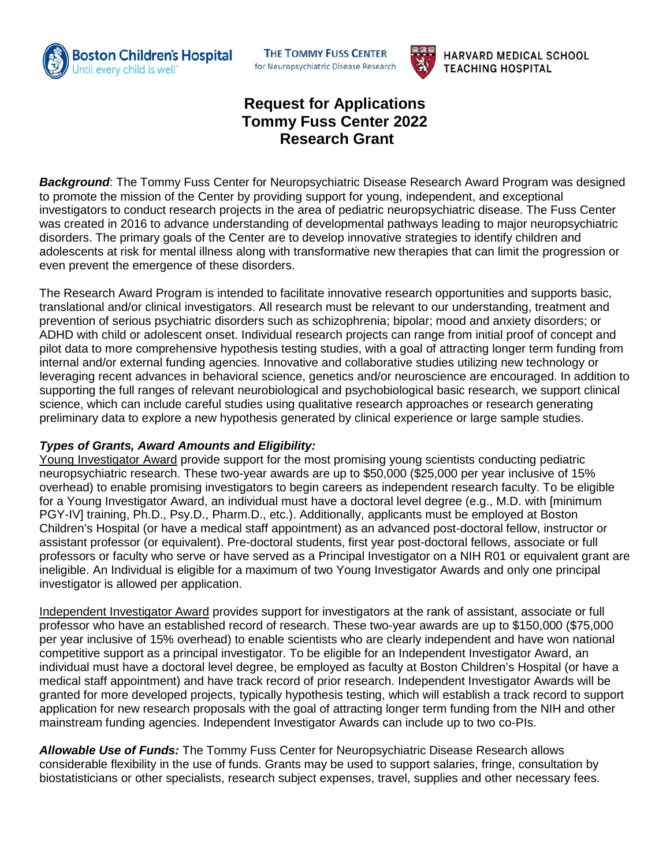



**HARVARD MEDICAL SCHOOL TEACHING HOSPITAL** 

## **Request for Applications Tommy Fuss Center 2022 Research Grant**

*Background*: The Tommy Fuss Center for Neuropsychiatric Disease Research Award Program was designed to promote the mission of the Center by providing support for young, independent, and exceptional investigators to conduct research projects in the area of pediatric neuropsychiatric disease. The Fuss Center was created in 2016 to advance understanding of developmental pathways leading to major neuropsychiatric disorders. The primary goals of the Center are to develop innovative strategies to identify children and adolescents at risk for mental illness along with transformative new therapies that can limit the progression or even prevent the emergence of these disorders.

The Research Award Program is intended to facilitate innovative research opportunities and supports basic, translational and/or clinical investigators. All research must be relevant to our understanding, treatment and prevention of serious psychiatric disorders such as schizophrenia; bipolar; mood and anxiety disorders; or ADHD with child or adolescent onset. Individual research projects can range from initial proof of concept and pilot data to more comprehensive hypothesis testing studies, with a goal of attracting longer term funding from internal and/or external funding agencies. Innovative and collaborative studies utilizing new technology or leveraging recent advances in behavioral science, genetics and/or neuroscience are encouraged. In addition to supporting the full ranges of relevant neurobiological and psychobiological basic research, we support clinical science, which can include careful studies using qualitative research approaches or research generating preliminary data to explore a new hypothesis generated by clinical experience or large sample studies.

## *Types of Grants, Award Amounts and Eligibility:*

Young Investigator Award provide support for the most promising young scientists conducting pediatric neuropsychiatric research. These two-year awards are up to \$50,000 (\$25,000 per year inclusive of 15% overhead) to enable promising investigators to begin careers as independent research faculty. To be eligible for a Young Investigator Award, an individual must have a doctoral level degree (e.g., M.D. with [minimum PGY-IV] training, Ph.D., Psy.D., Pharm.D., etc.). Additionally, applicants must be employed at Boston Children's Hospital (or have a medical staff appointment) as an advanced post-doctoral fellow, instructor or assistant professor (or equivalent). Pre-doctoral students, first year post-doctoral fellows, associate or full professors or faculty who serve or have served as a Principal Investigator on a NIH R01 or equivalent grant are ineligible. An Individual is eligible for a maximum of two Young Investigator Awards and only one principal investigator is allowed per application.

Independent Investigator Award provides support for investigators at the rank of assistant, associate or full professor who have an established record of research. These two-year awards are up to \$150,000 (\$75,000 per year inclusive of 15% overhead) to enable scientists who are clearly independent and have won national competitive support as a principal investigator. To be eligible for an Independent Investigator Award, an individual must have a doctoral level degree, be employed as faculty at Boston Children's Hospital (or have a medical staff appointment) and have track record of prior research. Independent Investigator Awards will be granted for more developed projects, typically hypothesis testing, which will establish a track record to support application for new research proposals with the goal of attracting longer term funding from the NIH and other mainstream funding agencies. Independent Investigator Awards can include up to two co-PIs.

*Allowable Use of Funds:* The Tommy Fuss Center for Neuropsychiatric Disease Research allows considerable flexibility in the use of funds. Grants may be used to support salaries, fringe, consultation by biostatisticians or other specialists, research subject expenses, travel, supplies and other necessary fees.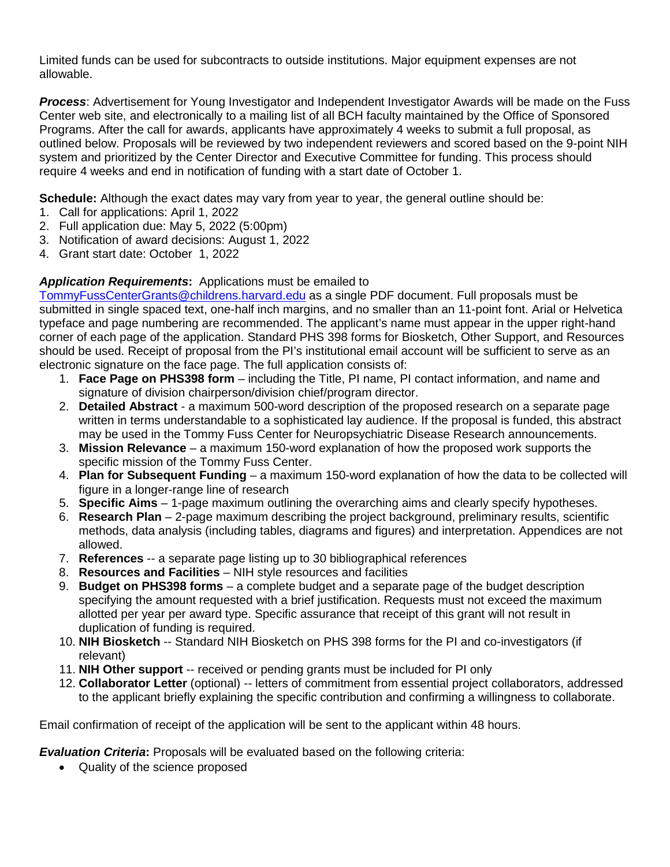Limited funds can be used for subcontracts to outside institutions. Major equipment expenses are not allowable.

*Process*: Advertisement for Young Investigator and Independent Investigator Awards will be made on the Fuss Center web site, and electronically to a mailing list of all BCH faculty maintained by the Office of Sponsored Programs. After the call for awards, applicants have approximately 4 weeks to submit a full proposal, as outlined below. Proposals will be reviewed by two independent reviewers and scored based on the 9-point NIH system and prioritized by the Center Director and Executive Committee for funding. This process should require 4 weeks and end in notification of funding with a start date of October 1.

**Schedule:** Although the exact dates may vary from year to year, the general outline should be:

- 1. Call for applications: April 1, 2022
- 2. Full application due: May 5, 2022 (5:00pm)
- 3. Notification of award decisions: August 1, 2022
- 4. Grant start date: October 1, 2022

## *Application Requirements***:** Applications must be emailed to

[TommyFussCenterGrants@childrens.harvard.edu](mailto:TommyFussCenterGrants@childrens.harvard.edu) as a single PDF document. Full proposals must be submitted in single spaced text, one-half inch margins, and no smaller than an 11-point font. Arial or Helvetica typeface and page numbering are recommended. The applicant's name must appear in the upper right-hand corner of each page of the application. Standard PHS 398 forms for Biosketch, Other Support, and Resources should be used. Receipt of proposal from the PI's institutional email account will be sufficient to serve as an electronic signature on the face page. The full application consists of:

- 1. **Face Page on PHS398 form** including the Title, PI name, PI contact information, and name and signature of division chairperson/division chief/program director.
- 2. **Detailed Abstract** a maximum 500-word description of the proposed research on a separate page written in terms understandable to a sophisticated lay audience. If the proposal is funded, this abstract may be used in the Tommy Fuss Center for Neuropsychiatric Disease Research announcements.
- 3. **Mission Relevance** a maximum 150-word explanation of how the proposed work supports the specific mission of the Tommy Fuss Center.
- 4. **Plan for Subsequent Funding** a maximum 150-word explanation of how the data to be collected will figure in a longer-range line of research
- 5. **Specific Aims** 1-page maximum outlining the overarching aims and clearly specify hypotheses.
- 6. **Research Plan** 2-page maximum describing the project background, preliminary results, scientific methods, data analysis (including tables, diagrams and figures) and interpretation. Appendices are not allowed.
- 7. **References** -- a separate page listing up to 30 bibliographical references
- 8. **Resources and Facilities** NIH style resources and facilities
- 9. **Budget on PHS398 forms** a complete budget and a separate page of the budget description specifying the amount requested with a brief justification. Requests must not exceed the maximum allotted per year per award type. Specific assurance that receipt of this grant will not result in duplication of funding is required.
- 10. **NIH Biosketch** -- Standard NIH Biosketch on PHS 398 forms for the PI and co-investigators (if relevant)
- 11. **NIH Other support** -- received or pending grants must be included for PI only
- 12. **Collaborator Letter** (optional) -- letters of commitment from essential project collaborators, addressed to the applicant briefly explaining the specific contribution and confirming a willingness to collaborate.

Email confirmation of receipt of the application will be sent to the applicant within 48 hours.

*Evaluation Criteria***:** Proposals will be evaluated based on the following criteria:

• Quality of the science proposed